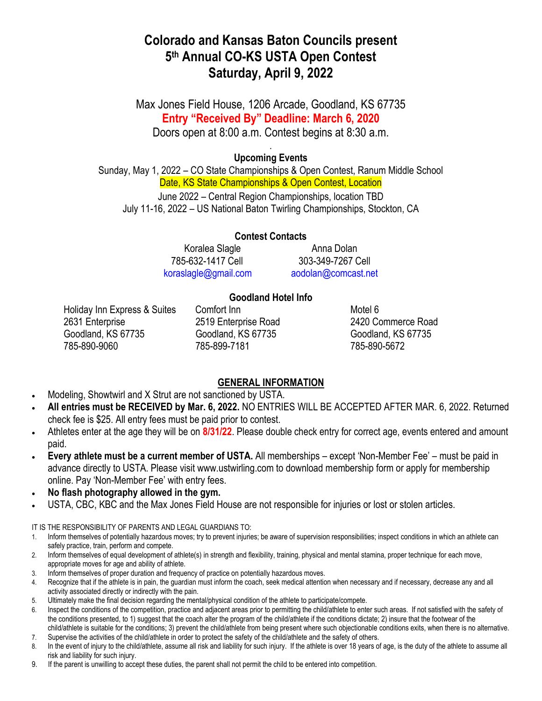# **Colorado and Kansas Baton Councils present 5 th Annual CO-KS USTA Open Contest Saturday, April 9, 2022**

Max Jones Field House, 1206 Arcade, Goodland, KS 67735 **Entry "Received By" Deadline: March 6, 2020** Doors open at 8:00 a.m. Contest begins at 8:30 a.m.

## . **Upcoming Events**

Sunday, May 1, 2022 – CO State Championships & Open Contest, Ranum Middle School Date, KS State Championships & Open Contest, Location June 2022 – Central Region Championships, location TBD July 11-16, 2022 – US National Baton Twirling Championships, Stockton, CA

> **Contest Contacts** Koralea Slagle **Anna Dolan** 785-632-1417 Cell 303-349-7267 Cell [koraslagle@gmail.com](mailto:koraslagle@gmail.com) [aodolan@comcast.net](mailto:aodolan@comcast.net)

# **Goodland Hotel Info**

Holiday Inn Express & Suites Comfort Inn **Motel 6** Motel 6 2631 Enterprise 2519 Enterprise Road 2420 Commerce Road Goodland, KS 67735 Goodland, KS 67735 Goodland, KS 67735 785-890-9060 785-899-7181 785-890-5672

# **GENERAL INFORMATION**

- Modeling, Showtwirl and X Strut are not sanctioned by USTA.
- **All entries must be RECEIVED by Mar. 6, 2022.** NO ENTRIES WILL BE ACCEPTED AFTER MAR. 6, 2022. Returned check fee is \$25. All entry fees must be paid prior to contest.
- Athletes enter at the age they will be on **8/31/22**. Please double check entry for correct age, events entered and amount paid.
- **Every athlete must be a current member of USTA.** All memberships except 'Non-Member Fee' must be paid in advance directly to USTA. Please visit www.ustwirling.com to download membership form or apply for membership online. Pay 'Non-Member Fee' with entry fees.
- **No flash photography allowed in the gym.**
- USTA, CBC, KBC and the Max Jones Field House are not responsible for injuries or lost or stolen articles.

IT IS THE RESPONSIBILITY OF PARENTS AND LEGAL GUARDIANS TO:

- 1. Inform themselves of potentially hazardous moves; try to prevent injuries; be aware of supervision responsibilities; inspect conditions in which an athlete can safely practice, train, perform and compete.
- 2. Inform themselves of equal development of athlete(s) in strength and flexibility, training, physical and mental stamina, proper technique for each move, appropriate moves for age and ability of athlete.
- 3. Inform themselves of proper duration and frequency of practice on potentially hazardous moves.
- 4. Recognize that if the athlete is in pain, the guardian must inform the coach, seek medical attention when necessary and if necessary, decrease any and all activity associated directly or indirectly with the pain.
- 5. Ultimately make the final decision regarding the mental/physical condition of the athlete to participate/compete.
- 6. Inspect the conditions of the competition, practice and adjacent areas prior to permitting the child/athlete to enter such areas. If not satisfied with the safety of the conditions presented, to 1) suggest that the coach alter the program of the child/athlete if the conditions dictate; 2) insure that the footwear of the child/athlete is suitable for the conditions; 3) prevent the child/athlete from being present where such objectionable conditions exits, when there is no alternative.
- 7. Supervise the activities of the child/athlete in order to protect the safety of the child/athlete and the safety of others.
- 8. In the event of injury to the child/athlete, assume all risk and liability for such injury. If the athlete is over 18 years of age, is the duty of the athlete to assume all risk and liability for such injury.
- 9. If the parent is unwilling to accept these duties, the parent shall not permit the child to be entered into competition.